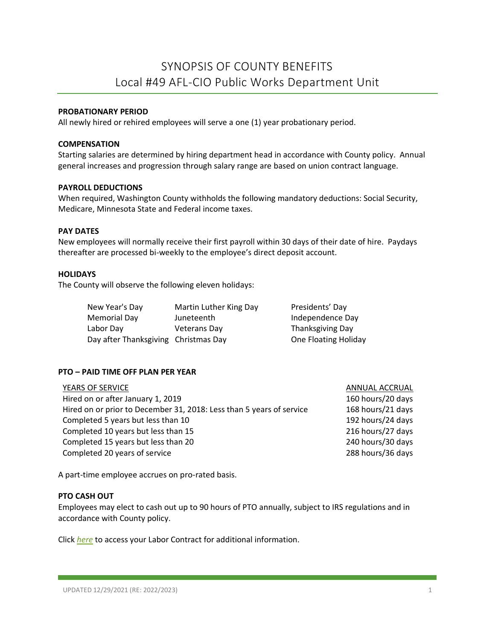# **PROBATIONARY PERIOD**

All newly hired or rehired employees will serve a one (1) year probationary period.

## **COMPENSATION**

Starting salaries are determined by hiring department head in accordance with County policy. Annual general increases and progression through salary range are based on union contract language.

#### **PAYROLL DEDUCTIONS**

When required, Washington County withholds the following mandatory deductions: Social Security, Medicare, Minnesota State and Federal income taxes.

# **PAY DATES**

New employees will normally receive their first payroll within 30 days of their date of hire. Paydays thereafter are processed bi-weekly to the employee's direct deposit account.

### **HOLIDAYS**

The County will observe the following eleven holidays:

| New Year's Day                       | Martin Luther King Day | Presidents' Day      |
|--------------------------------------|------------------------|----------------------|
| Memorial Day                         | Juneteenth             | Independence Day     |
| Labor Day                            | <b>Veterans Day</b>    | Thanksgiving Day     |
| Day after Thanksgiving Christmas Day |                        | One Floating Holiday |

#### **PTO – PAID TIME OFF PLAN PER YEAR**

| YEARS OF SERVICE                                                     | ANNUAL ACCRUAL    |
|----------------------------------------------------------------------|-------------------|
| Hired on or after January 1, 2019                                    | 160 hours/20 days |
| Hired on or prior to December 31, 2018: Less than 5 years of service | 168 hours/21 days |
| Completed 5 years but less than 10                                   | 192 hours/24 days |
| Completed 10 years but less than 15                                  | 216 hours/27 days |
| Completed 15 years but less than 20                                  | 240 hours/30 days |
| Completed 20 years of service                                        | 288 hours/36 days |
|                                                                      |                   |

A part-time employee accrues on pro-rated basis.

#### **PTO CASH OUT**

Employees may elect to cash out up to 90 hours of PTO annually, subject to IRS regulations and in accordance with County policy.

Click *[here](https://washnet.co.washington.mn.us/depts/hr/labagre/IntraCon/49ers%20CBA.pdf)* to access your Labor Contract for additional information.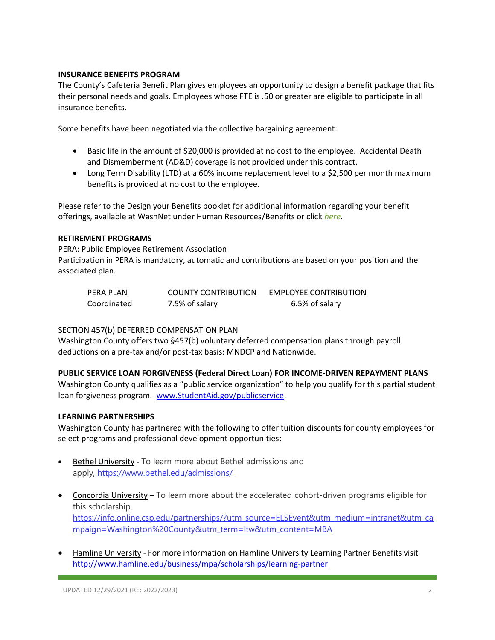# **INSURANCE BENEFITS PROGRAM**

The County's Cafeteria Benefit Plan gives employees an opportunity to design a benefit package that fits their personal needs and goals. Employees whose FTE is .50 or greater are eligible to participate in all insurance benefits.

Some benefits have been negotiated via the collective bargaining agreement:

- Basic life in the amount of \$20,000 is provided at no cost to the employee. Accidental Death and Dismemberment (AD&D) coverage is not provided under this contract.
- Long Term Disability (LTD) at a 60% income replacement level to a \$2,500 per month maximum benefits is provided at no cost to the employee.

Please refer to the Design your Benefits booklet for additional information regarding your benefit offerings, available at WashNet under Human Resources/Benefits or click *[here](https://washnet.co.washington.mn.us/depts/hr/benefits2/Shared%20Documents/CurrentBenefitBook.pdf?csf=1&e=CmQiSr)*.

# **RETIREMENT PROGRAMS**

PERA: Public Employee Retirement Association Participation in PERA is mandatory, automatic and contributions are based on your position and the associated plan.

| PERA PLAN   | <b>COUNTY CONTRIBUTION</b> | <b>EMPLOYEE CONTRIBUTION</b> |
|-------------|----------------------------|------------------------------|
| Coordinated | 7.5% of salary             | 6.5% of salary               |

# SECTION 457(b) DEFERRED COMPENSATION PLAN

Washington County offers two §457(b) voluntary deferred compensation plans through payroll deductions on a pre-tax and/or post-tax basis: MNDCP and Nationwide.

# **PUBLIC SERVICE LOAN FORGIVENESS (Federal Direct Loan) FOR INCOME-DRIVEN REPAYMENT PLANS**

Washington County qualifies as a "public service organization" to help you qualify for this partial student loan forgiveness program. [www.StudentAid.gov/publicservice.](http://www.studentaid.gov/publicservice)

#### **LEARNING PARTNERSHIPS**

Washington County has partnered with the following to offer tuition discounts for county employees for select programs and professional development opportunities:

- Bethel University To learn more about Bethel admissions and apply, <https://www.bethel.edu/admissions/>
- Concordia University To learn more about the accelerated cohort-driven programs eligible for this scholarship. [https://info.online.csp.edu/partnerships/?utm\\_source=ELSEvent&utm\\_medium=intranet&utm\\_ca](https://info.online.csp.edu/partnerships/?utm_source=ELSEvent&utm_medium=intranet&utm_campaign=Washington%20County&utm_term=ltw&utm_content=MBA) [mpaign=Washington%20County&utm\\_term=ltw&utm\\_content=MBA](https://info.online.csp.edu/partnerships/?utm_source=ELSEvent&utm_medium=intranet&utm_campaign=Washington%20County&utm_term=ltw&utm_content=MBA)
- Hamline University For more information on Hamline University Learning Partner Benefits visit <http://www.hamline.edu/business/mpa/scholarships/learning-partner>